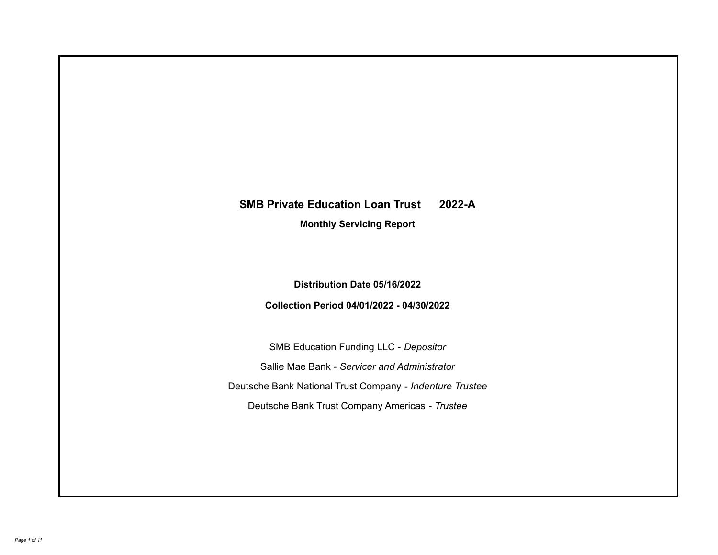# **SMB Private Education Loan Trust 2022-A**

**Monthly Servicing Report**

**Distribution Date 05/16/2022**

**Collection Period 04/01/2022 - 04/30/2022**

SMB Education Funding LLC - *Depositor* Sallie Mae Bank - *Servicer and Administrator* Deutsche Bank National Trust Company - *Indenture Trustee* Deutsche Bank Trust Company Americas - *Trustee*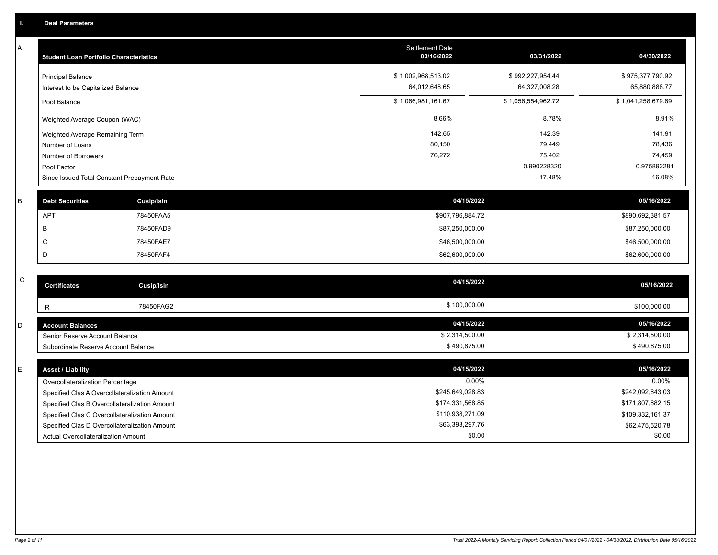A

| <b>Student Loan Portfolio Characteristics</b>                  | <b>Settlement Date</b><br>03/16/2022 | 03/31/2022                        | 04/30/2022                        |
|----------------------------------------------------------------|--------------------------------------|-----------------------------------|-----------------------------------|
| <b>Principal Balance</b><br>Interest to be Capitalized Balance | \$1,002,968,513.02<br>64,012,648.65  | \$992,227,954.44<br>64,327,008.28 | \$975,377,790.92<br>65,880,888.77 |
| Pool Balance                                                   | \$1,066,981,161.67                   | \$1,056,554,962.72                | \$1,041,258,679.69                |
| Weighted Average Coupon (WAC)                                  | 8.66%                                | 8.78%                             | 8.91%                             |
| Weighted Average Remaining Term                                | 142.65                               | 142.39                            | 141.91                            |
| Number of Loans                                                | 80,150                               | 79,449                            | 78,436                            |
| Number of Borrowers                                            | 76,272                               | 75,402                            | 74,459                            |
| Pool Factor                                                    |                                      | 0.990228320                       | 0.975892281                       |
| Since Issued Total Constant Prepayment Rate                    |                                      | 17.48%                            | 16.08%                            |

| <b>Debt Securities</b> | Cusip/Isin | 04/15/2022       | 05/16/2022       |
|------------------------|------------|------------------|------------------|
| <b>APT</b>             | 78450FAA5  | \$907,796,884.72 | \$890,692,381.57 |
|                        | 78450FAD9  | \$87,250,000.00  | \$87,250,000.00  |
|                        | 78450FAE7  | \$46,500,000.00  | \$46,500,000.00  |
|                        | 78450FAF4  | \$62,600,000.00  | \$62,600,000.00  |
|                        |            |                  |                  |

| C | <b>Certificates</b>                 | <b>Cusip/Isin</b> | 04/15/2022     | 05/16/2022     |
|---|-------------------------------------|-------------------|----------------|----------------|
|   |                                     | 78450FAG2         | \$100,000.00   | \$100,000.00   |
|   | <b>Account Balances</b>             |                   | 04/15/2022     | 05/16/2022     |
|   | Senior Reserve Account Balance      |                   | \$2,314,500.00 | \$2,314,500.00 |
|   | Subordinate Reserve Account Balance |                   | \$490,875.00   | \$490,875.00   |

| <b>Asset / Liability</b>                      | 04/15/2022       | 05/16/2022       |
|-----------------------------------------------|------------------|------------------|
| Overcollateralization Percentage              | 0.00%            | $0.00\%$         |
| Specified Clas A Overcollateralization Amount | \$245,649,028.83 | \$242,092,643.03 |
| Specified Clas B Overcollateralization Amount | \$174,331,568.85 | \$171,807,682.15 |
| Specified Clas C Overcollateralization Amount | \$110.938.271.09 | \$109,332,161.37 |
| Specified Clas D Overcollateralization Amount | \$63.393.297.76  | \$62,475,520.78  |
| Actual Overcollateralization Amount           | \$0.00           | \$0.00           |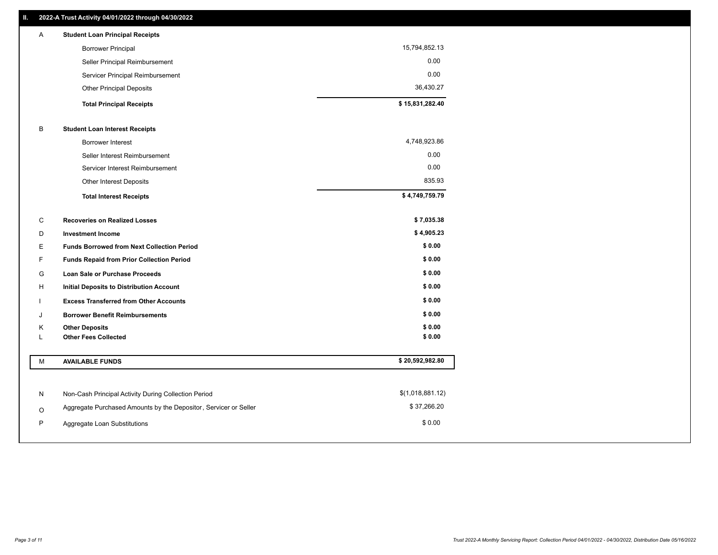| A | <b>Student Loan Principal Receipts</b> |                 |
|---|----------------------------------------|-----------------|
|   | <b>Borrower Principal</b>              | 15,794,852.13   |
|   | Seller Principal Reimbursement         | 0.00            |
|   | Servicer Principal Reimbursement       | 0.00            |
|   | <b>Other Principal Deposits</b>        | 36,430.27       |
|   | <b>Total Principal Receipts</b>        | \$15,831,282.40 |

# B **Student Loan Interest Receipts**

| <b>Total Interest Receipts</b>  | \$4,749,759.79 |
|---------------------------------|----------------|
| Other Interest Deposits         | 835.93         |
| Servicer Interest Reimbursement | 0.00           |
| Seller Interest Reimbursement   | 0.00           |
| Borrower Interest               | 4,748,923.86   |

| C | <b>Recoveries on Realized Losses</b>              | \$7,035.38 |
|---|---------------------------------------------------|------------|
| D | <b>Investment Income</b>                          | \$4,905.23 |
| Е | <b>Funds Borrowed from Next Collection Period</b> | \$0.00     |
| F | <b>Funds Repaid from Prior Collection Period</b>  | \$0.00     |
| G | <b>Loan Sale or Purchase Proceeds</b>             | \$0.00     |
| H | Initial Deposits to Distribution Account          | \$0.00     |
|   | <b>Excess Transferred from Other Accounts</b>     | \$0.00     |
| J | <b>Borrower Benefit Reimbursements</b>            | \$0.00     |
| K | <b>Other Deposits</b>                             | \$0.00     |
|   | <b>Other Fees Collected</b>                       | \$0.00     |

| M | <b>AVAILABLE FUNDS</b>                                           | \$20,592,982.80  |
|---|------------------------------------------------------------------|------------------|
|   |                                                                  |                  |
| N | Non-Cash Principal Activity During Collection Period             | \$(1,018,881.12) |
| O | Aggregate Purchased Amounts by the Depositor, Servicer or Seller | \$37,266.20      |
| P | Aggregate Loan Substitutions                                     | \$0.00           |
|   |                                                                  |                  |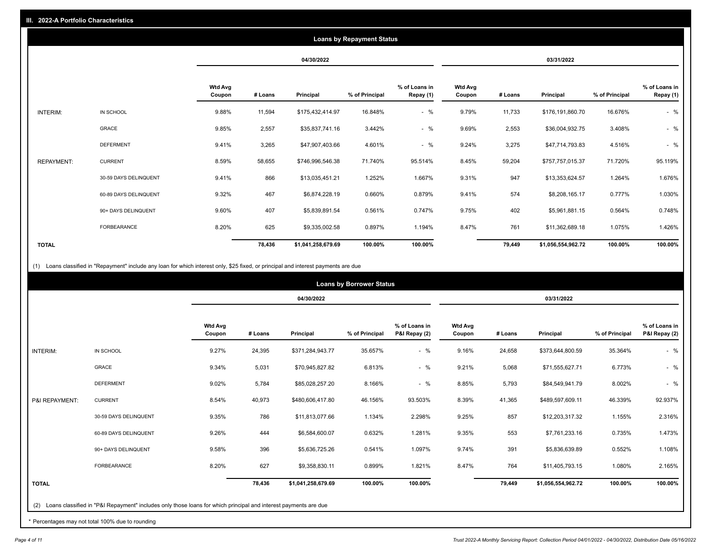|                   |                       |                          |         |                    | <b>Loans by Repayment Status</b> |                            |                          |         |                    |                |                            |
|-------------------|-----------------------|--------------------------|---------|--------------------|----------------------------------|----------------------------|--------------------------|---------|--------------------|----------------|----------------------------|
|                   |                       |                          |         | 04/30/2022         |                                  |                            |                          |         | 03/31/2022         |                |                            |
|                   |                       | <b>Wtd Avg</b><br>Coupon | # Loans | Principal          | % of Principal                   | % of Loans in<br>Repay (1) | <b>Wtd Avg</b><br>Coupon | # Loans | Principal          | % of Principal | % of Loans in<br>Repay (1) |
| <b>INTERIM:</b>   | IN SCHOOL             | 9.88%                    | 11,594  | \$175,432,414.97   | 16.848%                          | $-$ %                      | 9.79%                    | 11,733  | \$176,191,860.70   | 16.676%        | $-$ %                      |
|                   | GRACE                 | 9.85%                    | 2,557   | \$35,837,741.16    | 3.442%                           | $-$ %                      | 9.69%                    | 2,553   | \$36,004,932.75    | 3.408%         | $-$ %                      |
|                   | <b>DEFERMENT</b>      | 9.41%                    | 3,265   | \$47,907,403.66    | 4.601%                           | $-$ %                      | 9.24%                    | 3,275   | \$47,714,793.83    | 4.516%         | $-$ %                      |
| <b>REPAYMENT:</b> | <b>CURRENT</b>        | 8.59%                    | 58,655  | \$746,996,546.38   | 71.740%                          | 95.514%                    | 8.45%                    | 59,204  | \$757,757,015.37   | 71.720%        | 95.119%                    |
|                   | 30-59 DAYS DELINQUENT | 9.41%                    | 866     | \$13,035,451.21    | 1.252%                           | 1.667%                     | 9.31%                    | 947     | \$13,353,624.57    | 1.264%         | 1.676%                     |
|                   | 60-89 DAYS DELINQUENT | 9.32%                    | 467     | \$6,874,228.19     | 0.660%                           | 0.879%                     | 9.41%                    | 574     | \$8,208,165.17     | 0.777%         | 1.030%                     |
|                   | 90+ DAYS DELINQUENT   | 9.60%                    | 407     | \$5,839,891.54     | 0.561%                           | 0.747%                     | 9.75%                    | 402     | \$5,961,881.15     | 0.564%         | 0.748%                     |
|                   | FORBEARANCE           | 8.20%                    | 625     | \$9,335,002.58     | 0.897%                           | 1.194%                     | 8.47%                    | 761     | \$11,362,689.18    | 1.075%         | 1.426%                     |
| <b>TOTAL</b>      |                       |                          | 78,436  | \$1,041,258,679.69 | 100.00%                          | 100.00%                    |                          | 79,449  | \$1,056,554,962.72 | 100.00%        | 100.00%                    |

(1) Loans classified in "Repayment" include any loan for which interest only, \$25 fixed, or principal and interest payments are due

|                |                                                                                                                 |                          |            |                    | <b>Loans by Borrower Status</b> |                                |                          |         |                    |                |                                |
|----------------|-----------------------------------------------------------------------------------------------------------------|--------------------------|------------|--------------------|---------------------------------|--------------------------------|--------------------------|---------|--------------------|----------------|--------------------------------|
|                |                                                                                                                 |                          | 04/30/2022 |                    |                                 |                                |                          |         | 03/31/2022         |                |                                |
|                |                                                                                                                 | <b>Wtd Avg</b><br>Coupon | # Loans    | Principal          | % of Principal                  | % of Loans in<br>P&I Repay (2) | <b>Wtd Avg</b><br>Coupon | # Loans | Principal          | % of Principal | % of Loans in<br>P&I Repay (2) |
| INTERIM:       | IN SCHOOL                                                                                                       | 9.27%                    | 24,395     | \$371,284,943.77   | 35.657%                         | $-$ %                          | 9.16%                    | 24,658  | \$373,644,800.59   | 35.364%        | $-$ %                          |
|                | GRACE                                                                                                           | 9.34%                    | 5,031      | \$70,945,827.82    | 6.813%                          | $-$ %                          | 9.21%                    | 5,068   | \$71,555,627.71    | 6.773%         | $-$ %                          |
|                | <b>DEFERMENT</b>                                                                                                | 9.02%                    | 5,784      | \$85,028,257.20    | 8.166%                          | $-$ %                          | 8.85%                    | 5,793   | \$84,549,941.79    | 8.002%         | $-$ %                          |
| P&I REPAYMENT: | <b>CURRENT</b>                                                                                                  | 8.54%                    | 40,973     | \$480,606,417.80   | 46.156%                         | 93.503%                        | 8.39%                    | 41,365  | \$489,597,609.11   | 46.339%        | 92.937%                        |
|                | 30-59 DAYS DELINQUENT                                                                                           | 9.35%                    | 786        | \$11,813,077.66    | 1.134%                          | 2.298%                         | 9.25%                    | 857     | \$12,203,317.32    | 1.155%         | 2.316%                         |
|                | 60-89 DAYS DELINQUENT                                                                                           | 9.26%                    | 444        | \$6,584,600.07     | 0.632%                          | 1.281%                         | 9.35%                    | 553     | \$7,761,233.16     | 0.735%         | 1.473%                         |
|                | 90+ DAYS DELINQUENT                                                                                             | 9.58%                    | 396        | \$5,636,725.26     | 0.541%                          | 1.097%                         | 9.74%                    | 391     | \$5,836,639.89     | 0.552%         | 1.108%                         |
|                | FORBEARANCE                                                                                                     | 8.20%                    | 627        | \$9,358,830.11     | 0.899%                          | 1.821%                         | 8.47%                    | 764     | \$11,405,793.15    | 1.080%         | 2.165%                         |
| <b>TOTAL</b>   |                                                                                                                 |                          | 78,436     | \$1,041,258,679.69 | 100.00%                         | 100.00%                        |                          | 79,449  | \$1,056,554,962.72 | 100.00%        | 100.00%                        |
| (2)            | Loans classified in "P&I Repayment" includes only those loans for which principal and interest payments are due |                          |            |                    |                                 |                                |                          |         |                    |                |                                |

\* Percentages may not total 100% due to rounding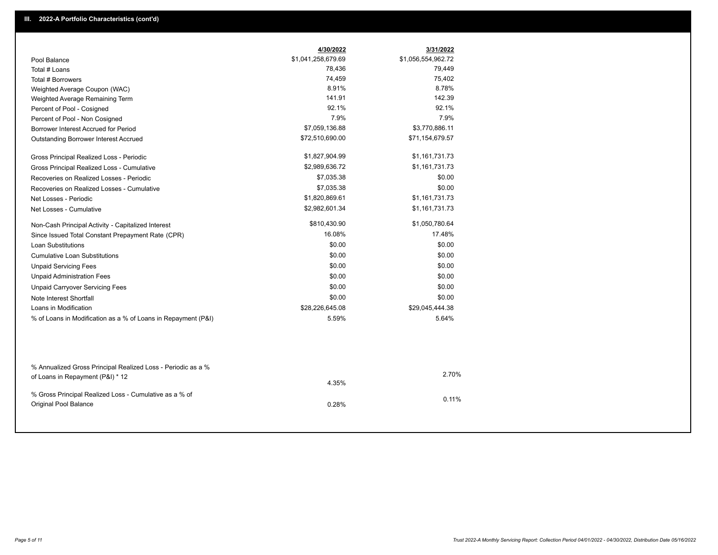|                                                                                                  | 4/30/2022          | 3/31/2022          |
|--------------------------------------------------------------------------------------------------|--------------------|--------------------|
| Pool Balance                                                                                     | \$1,041,258,679.69 | \$1,056,554,962.72 |
| Total # Loans                                                                                    | 78,436             | 79,449             |
| Total # Borrowers                                                                                | 74,459             | 75,402             |
| Weighted Average Coupon (WAC)                                                                    | 8.91%              | 8.78%              |
| Weighted Average Remaining Term                                                                  | 141.91             | 142.39             |
| Percent of Pool - Cosigned                                                                       | 92.1%              | 92.1%              |
| Percent of Pool - Non Cosigned                                                                   | 7.9%               | 7.9%               |
| Borrower Interest Accrued for Period                                                             | \$7,059,136.88     | \$3,770,886.11     |
| Outstanding Borrower Interest Accrued                                                            | \$72,510,690.00    | \$71,154,679.57    |
| Gross Principal Realized Loss - Periodic                                                         | \$1,827,904.99     | \$1,161,731.73     |
| Gross Principal Realized Loss - Cumulative                                                       | \$2,989,636.72     | \$1,161,731.73     |
| Recoveries on Realized Losses - Periodic                                                         | \$7,035.38         | \$0.00             |
| Recoveries on Realized Losses - Cumulative                                                       | \$7,035.38         | \$0.00             |
| Net Losses - Periodic                                                                            | \$1,820,869.61     | \$1,161,731.73     |
| Net Losses - Cumulative                                                                          | \$2,982,601.34     | \$1,161,731.73     |
| Non-Cash Principal Activity - Capitalized Interest                                               | \$810,430.90       | \$1,050,780.64     |
| Since Issued Total Constant Prepayment Rate (CPR)                                                | 16.08%             | 17.48%             |
| <b>Loan Substitutions</b>                                                                        | \$0.00             | \$0.00             |
| <b>Cumulative Loan Substitutions</b>                                                             | \$0.00             | \$0.00             |
| <b>Unpaid Servicing Fees</b>                                                                     | \$0.00             | \$0.00             |
| <b>Unpaid Administration Fees</b>                                                                | \$0.00             | \$0.00             |
| <b>Unpaid Carryover Servicing Fees</b>                                                           | \$0.00             | \$0.00             |
| Note Interest Shortfall                                                                          | \$0.00             | \$0.00             |
| Loans in Modification                                                                            | \$28,226,645.08    | \$29,045,444.38    |
| % of Loans in Modification as a % of Loans in Repayment (P&I)                                    | 5.59%              | 5.64%              |
|                                                                                                  |                    |                    |
| % Annualized Gross Principal Realized Loss - Periodic as a %<br>of Loans in Repayment (P&I) * 12 |                    | 2.70%              |
|                                                                                                  | 4.35%              |                    |
| % Gross Principal Realized Loss - Cumulative as a % of                                           |                    | 0.11%              |

0.28%

Original Pool Balance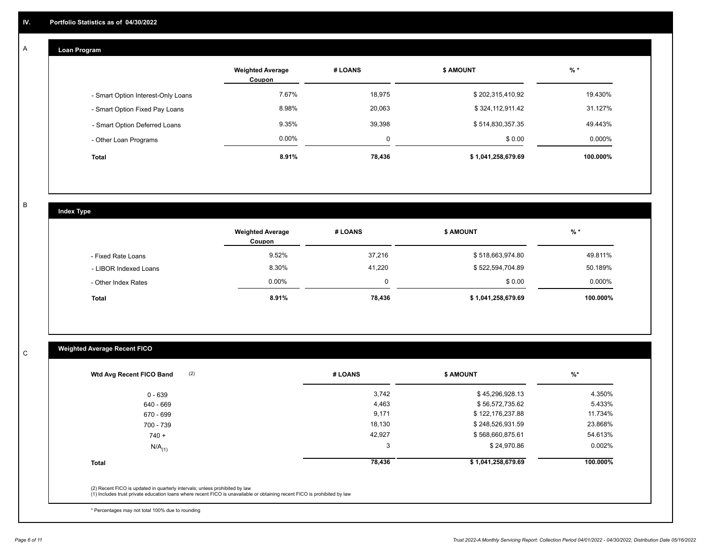# **Loan Program**

A

|                                    | <b>Weighted Average</b><br>Coupon | # LOANS | <b>\$ AMOUNT</b>   | $%$ *     |
|------------------------------------|-----------------------------------|---------|--------------------|-----------|
| - Smart Option Interest-Only Loans | 7.67%                             | 18,975  | \$202,315,410.92   | 19.430%   |
| - Smart Option Fixed Pay Loans     | 8.98%                             | 20.063  | \$324,112,911.42   | 31.127%   |
| - Smart Option Deferred Loans      | 9.35%                             | 39,398  | \$514,830,357.35   | 49.443%   |
| - Other Loan Programs              | $0.00\%$                          | 0       | \$0.00             | $0.000\%$ |
| <b>Total</b>                       | 8.91%                             | 78,436  | \$1,041,258,679.69 | 100.000%  |

B

C

# **Index Type**

|                       | <b>Weighted Average</b><br><b>Coupon</b> | # LOANS | \$ AMOUNT          | $%$ *     |
|-----------------------|------------------------------------------|---------|--------------------|-----------|
| - Fixed Rate Loans    | 9.52%                                    | 37,216  | \$518,663,974.80   | 49.811%   |
| - LIBOR Indexed Loans | 8.30%                                    | 41.220  | \$522,594,704.89   | 50.189%   |
| - Other Index Rates   | $0.00\%$                                 |         | \$0.00             | $0.000\%$ |
| <b>Total</b>          | 8.91%                                    | 78.436  | \$1,041,258,679.69 | 100.000%  |

# **Weighted Average Recent FICO**

| (2)<br>Wtd Avg Recent FICO Band                                                                                                                                                                          | # LOANS | <b>\$ AMOUNT</b>   | $\%^*$   |
|----------------------------------------------------------------------------------------------------------------------------------------------------------------------------------------------------------|---------|--------------------|----------|
| $0 - 639$                                                                                                                                                                                                | 3,742   | \$45,296,928.13    | 4.350%   |
| 640 - 669                                                                                                                                                                                                | 4,463   | \$56,572,735.62    | 5.433%   |
| 670 - 699                                                                                                                                                                                                | 9,171   | \$122,176,237.88   | 11.734%  |
| 700 - 739                                                                                                                                                                                                | 18,130  | \$248,526,931.59   | 23.868%  |
| $740 +$                                                                                                                                                                                                  | 42,927  | \$568,660,875.61   | 54.613%  |
| $N/A$ <sub>(1)</sub>                                                                                                                                                                                     | 3       | \$24,970.86        | 0.002%   |
| <b>Total</b>                                                                                                                                                                                             | 78,436  | \$1,041,258,679.69 | 100.000% |
| (2) Recent FICO is updated in quarterly intervals; unless prohibited by law<br>(1) Includes trust private education loans where recent FICO is unavailable or obtaining recent FICO is prohibited by law |         |                    |          |

\* Percentages may not total 100% due to rounding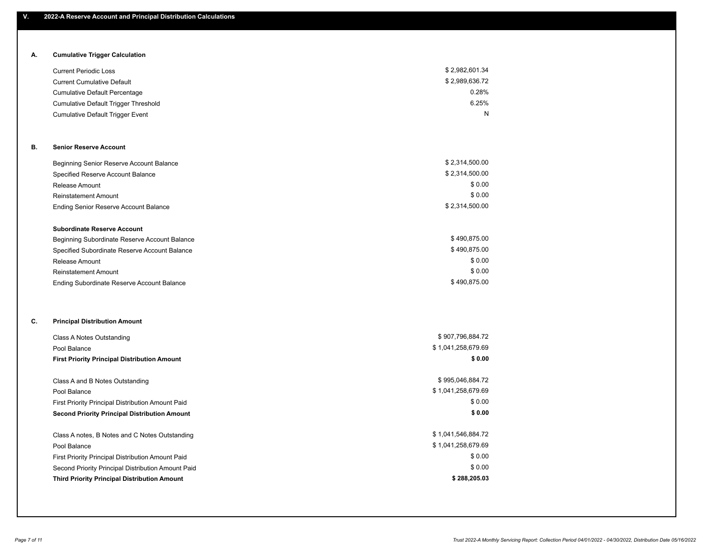# **A. Cumulative Trigger Calculation**

| <b>Current Periodic Loss</b>            | \$2,982,601.34 |
|-----------------------------------------|----------------|
| <b>Current Cumulative Default</b>       | \$2,989,636.72 |
| <b>Cumulative Default Percentage</b>    | 0.28%          |
| Cumulative Default Trigger Threshold    | 6.25%          |
| <b>Cumulative Default Trigger Event</b> | N              |

### **B. Senior Reserve Account**

| Beginning Senior Reserve Account Balance      | \$2,314,500.00 |
|-----------------------------------------------|----------------|
| Specified Reserve Account Balance             | \$2,314,500.00 |
| Release Amount                                | \$0.00         |
| <b>Reinstatement Amount</b>                   | \$0.00         |
| Ending Senior Reserve Account Balance         | \$2,314,500.00 |
| <b>Subordinate Reserve Account</b>            |                |
| Beginning Subordinate Reserve Account Balance | \$490.875.00   |
| Specified Subordinate Reserve Account Balance | \$490.875.00   |

| Release Amount                             | \$0.00       |
|--------------------------------------------|--------------|
| Reinstatement Amount                       | \$0.00       |
| Ending Subordinate Reserve Account Balance | \$490,875.00 |

# **C. Principal Distribution Amount**

| Class A Notes Outstanding                            | \$907,796,884.72   |
|------------------------------------------------------|--------------------|
| Pool Balance                                         | \$1,041,258,679.69 |
| <b>First Priority Principal Distribution Amount</b>  | \$0.00             |
|                                                      |                    |
| Class A and B Notes Outstanding                      | \$995,046,884.72   |
| Pool Balance                                         | \$1,041,258,679.69 |
| First Priority Principal Distribution Amount Paid    | \$0.00             |
| <b>Second Priority Principal Distribution Amount</b> | \$0.00             |
| Class A notes, B Notes and C Notes Outstanding       | \$1,041,546,884.72 |
| Pool Balance                                         | \$1,041,258,679.69 |
| First Priority Principal Distribution Amount Paid    | \$0.00             |
| Second Priority Principal Distribution Amount Paid   | \$0.00             |
| <b>Third Priority Principal Distribution Amount</b>  | \$288,205.03       |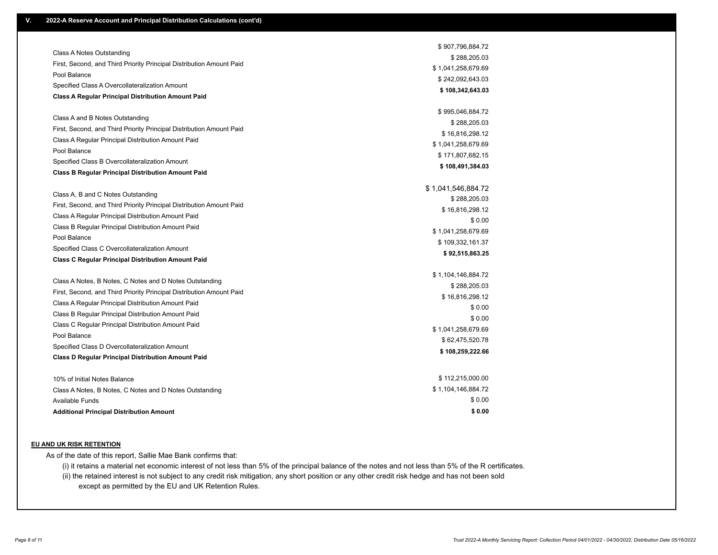|                                                                      | \$907,796,884.72   |
|----------------------------------------------------------------------|--------------------|
| Class A Notes Outstanding                                            | \$288,205.03       |
| First, Second, and Third Priority Principal Distribution Amount Paid | \$1,041,258,679.69 |
| Pool Balance                                                         | \$242,092,643.03   |
| Specified Class A Overcollateralization Amount                       | \$108,342,643.03   |
| <b>Class A Regular Principal Distribution Amount Paid</b>            |                    |
|                                                                      | \$995,046,884.72   |
| Class A and B Notes Outstanding                                      | \$288,205.03       |
| First, Second, and Third Priority Principal Distribution Amount Paid | \$16,816,298.12    |
| Class A Regular Principal Distribution Amount Paid                   | \$1,041,258,679.69 |
| Pool Balance                                                         | \$171,807,682.15   |
| Specified Class B Overcollateralization Amount                       | \$108,491,384.03   |
| <b>Class B Regular Principal Distribution Amount Paid</b>            |                    |
|                                                                      | \$1,041,546,884.72 |
| Class A, B and C Notes Outstanding                                   | \$288,205.03       |
| First, Second, and Third Priority Principal Distribution Amount Paid | \$16,816,298.12    |
| Class A Regular Principal Distribution Amount Paid                   | \$0.00             |
| Class B Regular Principal Distribution Amount Paid                   | \$1,041,258,679.69 |
| Pool Balance                                                         | \$109,332,161.37   |
| Specified Class C Overcollateralization Amount                       | \$92,515,863.25    |
| <b>Class C Regular Principal Distribution Amount Paid</b>            |                    |
|                                                                      | \$1,104,146,884.72 |
| Class A Notes, B Notes, C Notes and D Notes Outstanding              | \$288,205.03       |
| First, Second, and Third Priority Principal Distribution Amount Paid | \$16,816,298.12    |
| Class A Regular Principal Distribution Amount Paid                   | \$0.00             |
| Class B Regular Principal Distribution Amount Paid                   | \$0.00             |
| Class C Regular Principal Distribution Amount Paid                   | \$1,041,258,679.69 |
| Pool Balance                                                         | \$62,475,520.78    |
| Specified Class D Overcollateralization Amount                       | \$108,259,222.66   |
| <b>Class D Regular Principal Distribution Amount Paid</b>            |                    |
| 10% of Initial Notes Balance                                         | \$112,215,000.00   |
| Class A Notes, B Notes, C Notes and D Notes Outstanding              | \$1,104,146,884.72 |
| <b>Available Funds</b>                                               | \$0.00             |
| <b>Additional Principal Distribution Amount</b>                      | \$0.00             |

#### **EU AND UK RISK RETENTION**

As of the date of this report, Sallie Mae Bank confirms that:

(i) it retains a material net economic interest of not less than 5% of the principal balance of the notes and not less than 5% of the R certificates.

(ii) the retained interest is not subject to any credit risk mitigation, any short position or any other credit risk hedge and has not been sold except as permitted by the EU and UK Retention Rules.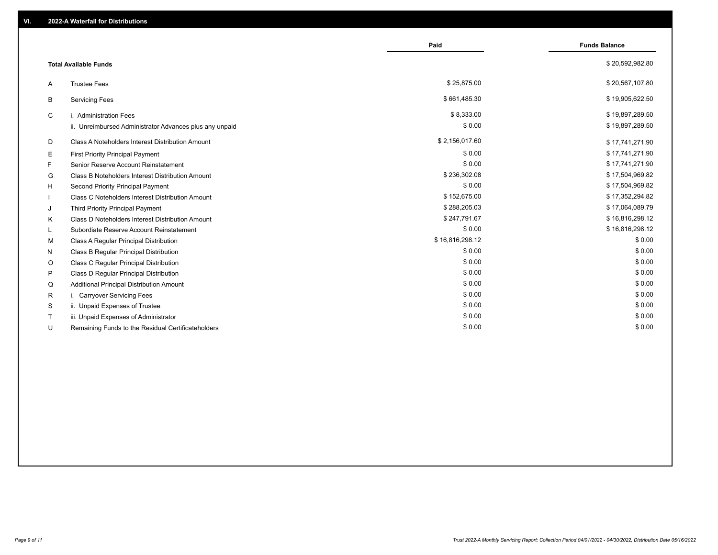|    |                                                         | Paid            | <b>Funds Balance</b> |
|----|---------------------------------------------------------|-----------------|----------------------|
|    | <b>Total Available Funds</b>                            |                 | \$20,592,982.80      |
| A  | <b>Trustee Fees</b>                                     | \$25.875.00     | \$20,567,107.80      |
| В  | <b>Servicing Fees</b>                                   | \$661,485.30    | \$19,905,622.50      |
| C  | i. Administration Fees                                  | \$8,333.00      | \$19,897,289.50      |
|    | ii. Unreimbursed Administrator Advances plus any unpaid | \$0.00          | \$19,897,289.50      |
| D  | Class A Noteholders Interest Distribution Amount        | \$2,156,017.60  | \$17,741,271.90      |
| Е  | <b>First Priority Principal Payment</b>                 | \$0.00          | \$17,741,271.90      |
| F. | Senior Reserve Account Reinstatement                    | \$0.00          | \$17,741,271.90      |
| G  | Class B Noteholders Interest Distribution Amount        | \$236,302.08    | \$17,504,969.82      |
| H. | Second Priority Principal Payment                       | \$0.00          | \$17,504,969.82      |
|    | Class C Noteholders Interest Distribution Amount        | \$152,675.00    | \$17,352,294.82      |
| J  | Third Priority Principal Payment                        | \$288,205.03    | \$17,064,089.79      |
| K  | Class D Noteholders Interest Distribution Amount        | \$247,791.67    | \$16,816,298.12      |
| L. | Subordiate Reserve Account Reinstatement                | \$0.00          | \$16,816,298.12      |
| м  | Class A Regular Principal Distribution                  | \$16,816,298.12 | \$0.00               |
| N  | Class B Regular Principal Distribution                  | \$0.00          | \$0.00               |
| O  | Class C Regular Principal Distribution                  | \$0.00          | \$0.00               |
| P  | Class D Regular Principal Distribution                  | \$0.00          | \$0.00               |
| Q  | Additional Principal Distribution Amount                | \$0.00          | \$0.00               |
| R  | i. Carryover Servicing Fees                             | \$0.00          | \$0.00               |
| S  | ii. Unpaid Expenses of Trustee                          | \$0.00          | \$0.00               |
|    | iii. Unpaid Expenses of Administrator                   | \$0.00          | \$0.00               |
| U  | Remaining Funds to the Residual Certificateholders      | \$0.00          | \$0.00               |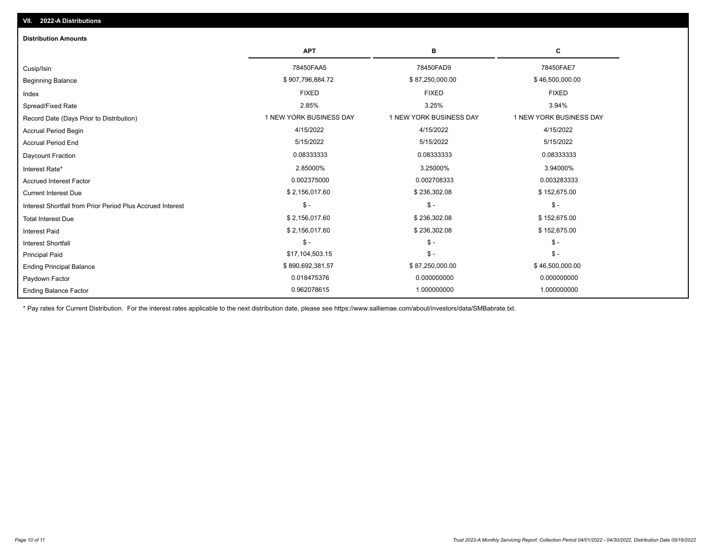| <b>Distribution Amounts</b>                                |                         |                         |                         |
|------------------------------------------------------------|-------------------------|-------------------------|-------------------------|
|                                                            | <b>APT</b>              | в                       | C                       |
| Cusip/Isin                                                 | 78450FAA5               | 78450FAD9               | 78450FAE7               |
| <b>Beginning Balance</b>                                   | \$907,796,884.72        | \$87,250,000.00         | \$46,500,000.00         |
| Index                                                      | <b>FIXED</b>            | <b>FIXED</b>            | <b>FIXED</b>            |
| Spread/Fixed Rate                                          | 2.85%                   | 3.25%                   | 3.94%                   |
| Record Date (Days Prior to Distribution)                   | 1 NEW YORK BUSINESS DAY | 1 NEW YORK BUSINESS DAY | 1 NEW YORK BUSINESS DAY |
| <b>Accrual Period Begin</b>                                | 4/15/2022               | 4/15/2022               | 4/15/2022               |
| <b>Accrual Period End</b>                                  | 5/15/2022               | 5/15/2022               | 5/15/2022               |
| Daycount Fraction                                          | 0.08333333              | 0.08333333              | 0.08333333              |
| Interest Rate*                                             | 2.85000%                | 3.25000%                | 3.94000%                |
| <b>Accrued Interest Factor</b>                             | 0.002375000             | 0.002708333             | 0.003283333             |
| <b>Current Interest Due</b>                                | \$2,156,017.60          | \$236,302.08            | \$152,675.00            |
| Interest Shortfall from Prior Period Plus Accrued Interest | $\mathsf{\$}$ -         | $$ -$                   | $\mathsf{\$}$ -         |
| <b>Total Interest Due</b>                                  | \$2,156,017.60          | \$236,302.08            | \$152,675.00            |
| <b>Interest Paid</b>                                       | \$2,156,017.60          | \$236,302.08            | \$152,675.00            |
| Interest Shortfall                                         | $$ -$                   | $$ -$                   | $\mathsf{\$}$ -         |
| <b>Principal Paid</b>                                      | \$17,104,503.15         | $$ -$                   | $\mathsf{\$}$ -         |
| <b>Ending Principal Balance</b>                            | \$890,692,381.57        | \$87,250,000.00         | \$46,500,000.00         |
| Paydown Factor                                             | 0.018475376             | 0.000000000             | 0.000000000             |
| <b>Ending Balance Factor</b>                               | 0.962078615             | 1.000000000             | 1.000000000             |

\* Pay rates for Current Distribution. For the interest rates applicable to the next distribution date, please see https://www.salliemae.com/about/investors/data/SMBabrate.txt.

**VII. 2022-A Distributions**